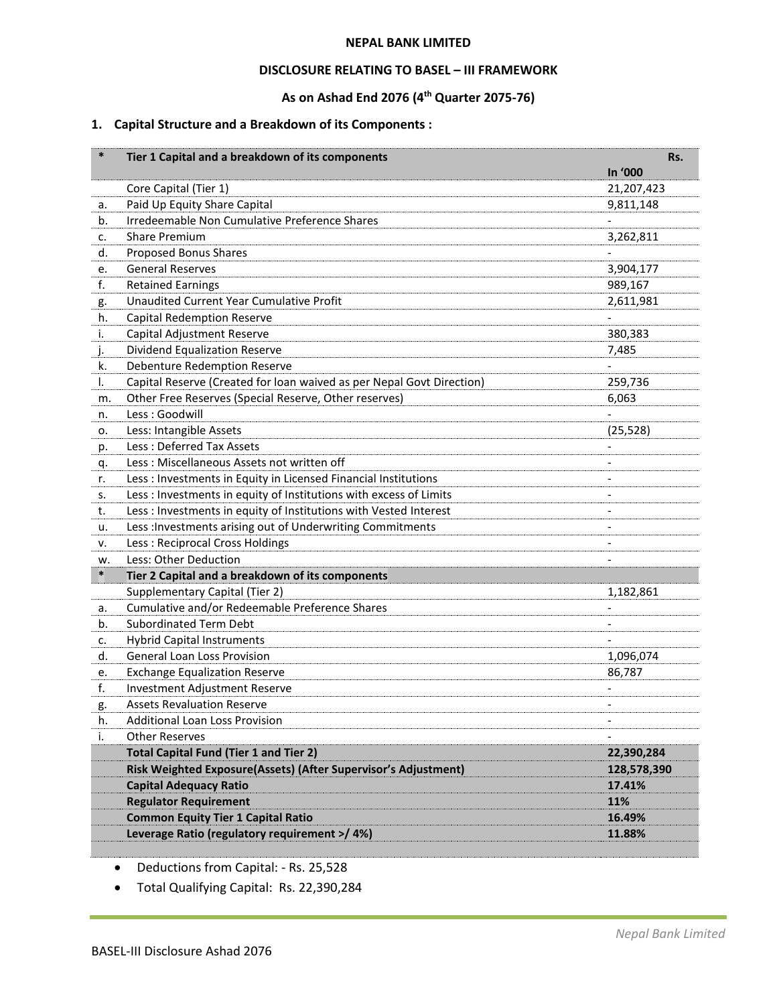#### **NEPAL BANK LIMITED**

### **DISCLOSURE RELATING TO BASEL – III FRAMEWORK**

# **As on Ashad End 2076 (4 th Quarter 2075-76)**

# **1. Capital Structure and a Breakdown of its Components :**

| $\ast$ | Tier 1 Capital and a breakdown of its components                      | Rs.                      |
|--------|-----------------------------------------------------------------------|--------------------------|
|        |                                                                       | In '000                  |
|        | Core Capital (Tier 1)                                                 | 21,207,423               |
| a.     | Paid Up Equity Share Capital                                          | 9,811,148                |
| b.     | Irredeemable Non Cumulative Preference Shares                         |                          |
| c.     | <b>Share Premium</b>                                                  | 3,262,811                |
| d.     | Proposed Bonus Shares                                                 |                          |
| е.     | <b>General Reserves</b>                                               | 3,904,177                |
| f.     | <b>Retained Earnings</b>                                              | 989,167                  |
| g.     | Unaudited Current Year Cumulative Profit                              | 2,611,981                |
| h.     | <b>Capital Redemption Reserve</b>                                     |                          |
| i.     | Capital Adjustment Reserve                                            | 380,383                  |
| j.     | Dividend Equalization Reserve                                         | 7,485                    |
| k.     | <b>Debenture Redemption Reserve</b>                                   |                          |
| I.     | Capital Reserve (Created for loan waived as per Nepal Govt Direction) | 259,736                  |
| m.     | Other Free Reserves (Special Reserve, Other reserves)                 | 6,063                    |
| n.     | Less: Goodwill                                                        |                          |
| о.     | Less: Intangible Assets                                               | (25, 528)                |
| p.     | Less: Deferred Tax Assets                                             |                          |
| q.     | Less: Miscellaneous Assets not written off                            |                          |
| r.     | Less : Investments in Equity in Licensed Financial Institutions       |                          |
| s.     | Less : Investments in equity of Institutions with excess of Limits    |                          |
| t.     | Less : Investments in equity of Institutions with Vested Interest     |                          |
| u.     | Less : Investments arising out of Underwriting Commitments            | $\overline{\phantom{a}}$ |
| ν.     | Less: Reciprocal Cross Holdings                                       |                          |
| w.     | Less: Other Deduction                                                 |                          |
| $\ast$ | Tier 2 Capital and a breakdown of its components                      |                          |
|        | Supplementary Capital (Tier 2)                                        | 1,182,861                |
| a.     | Cumulative and/or Redeemable Preference Shares                        |                          |
| b.     | <b>Subordinated Term Debt</b>                                         |                          |
| c.     | <b>Hybrid Capital Instruments</b>                                     |                          |
| d.     | <b>General Loan Loss Provision</b>                                    | 1,096,074                |
| е.     | <b>Exchange Equalization Reserve</b>                                  | 86,787                   |
| f.     | Investment Adjustment Reserve                                         |                          |
| g.     | <b>Assets Revaluation Reserve</b>                                     |                          |
| h.     | Additional Loan Loss Provision                                        |                          |
| i.     | <b>Other Reserves</b>                                                 |                          |
|        | <b>Total Capital Fund (Tier 1 and Tier 2)</b>                         | 22,390,284               |
|        | Risk Weighted Exposure(Assets) (After Supervisor's Adjustment)        | 128,578,390              |
|        | <b>Capital Adequacy Ratio</b>                                         | 17.41%                   |
|        | <b>Regulator Requirement</b>                                          | 11%                      |
|        | <b>Common Equity Tier 1 Capital Ratio</b>                             | 16.49%                   |
|        | Leverage Ratio (regulatory requirement >/ 4%)                         | 11.88%                   |
|        |                                                                       |                          |

• Deductions from Capital: - Rs. 25,528

• Total Qualifying Capital: Rs. 22,390,284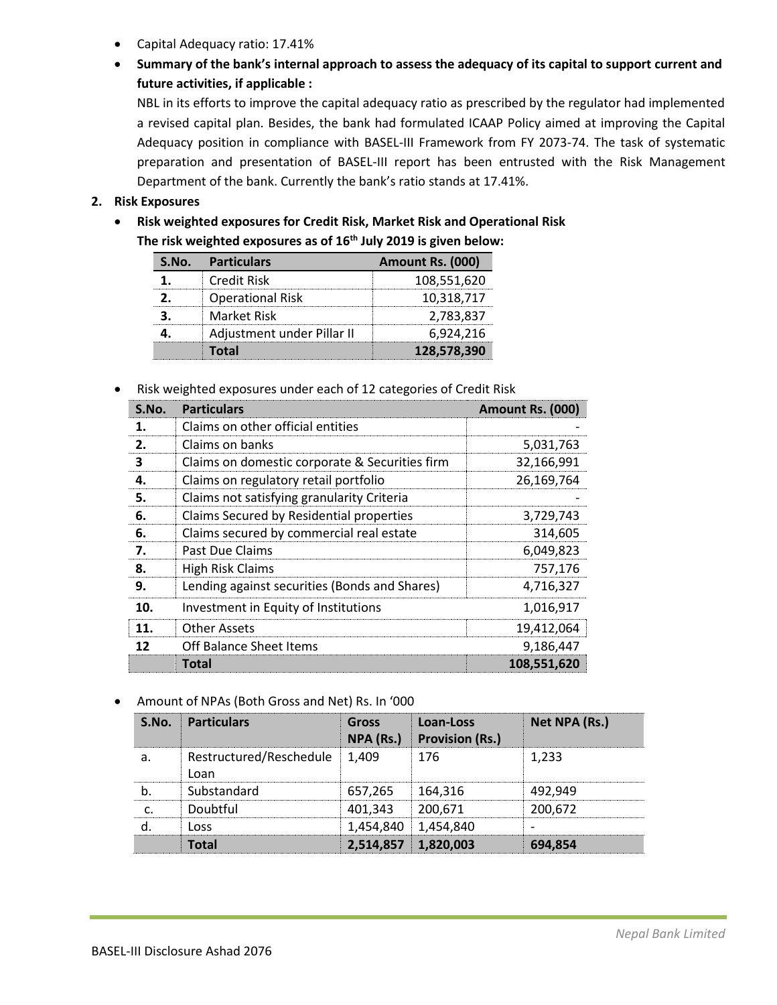- Capital Adequacy ratio: 17.41%
- **Summary of the bank's internal approach to assess the adequacy of its capital to support current and future activities, if applicable :**

NBL in its efforts to improve the capital adequacy ratio as prescribed by the regulator had implemented a revised capital plan. Besides, the bank had formulated ICAAP Policy aimed at improving the Capital Adequacy position in compliance with BASEL-III Framework from FY 2073-74. The task of systematic preparation and presentation of BASEL-III report has been entrusted with the Risk Management Department of the bank. Currently the bank's ratio stands at 17.41%.

# **2. Risk Exposures**

• **Risk weighted exposures for Credit Risk, Market Risk and Operational Risk The risk weighted exposures as of 16 th July 2019 is given below:**

| S.No. | <b>Particulars</b>         | Amount Rs. (000) |
|-------|----------------------------|------------------|
|       | Credit Risk                | 108,551,620      |
|       | <b>Operational Risk</b>    | 10,318,717       |
|       | Market Risk                | 2,783,837        |
|       | Adjustment under Pillar II | 6,924,216        |
|       | Total                      | 128,578,390      |

• Risk weighted exposures under each of 12 categories of Credit Risk

| S.No. | <b>Particulars</b>                             | Amount Rs. (000) |
|-------|------------------------------------------------|------------------|
|       | Claims on other official entities              |                  |
| 2.    | Claims on banks                                | 5,031,763        |
| 3     | Claims on domestic corporate & Securities firm | 32,166,991       |
| 4.    | Claims on regulatory retail portfolio          | 26,169,764       |
| 5.    | Claims not satisfying granularity Criteria     |                  |
| 6.    | Claims Secured by Residential properties       | 3,729,743        |
| 6.    | Claims secured by commercial real estate       | 314,605          |
| 7.    | Past Due Claims                                | 6,049,823        |
| 8.    | High Risk Claims                               | 757,176          |
| 9.    | Lending against securities (Bonds and Shares)  | 4,716,327        |
| 10.   | Investment in Equity of Institutions           | 1,016,917        |
| 11.   | <b>Other Assets</b>                            | 19,412,064       |
| 12    | Off Balance Sheet Items                        | 9,186,447        |
|       | Total                                          | 108,551,620      |

• Amount of NPAs (Both Gross and Net) Rs. In '000

| S.NO. | <b>Particulars</b>                    | Gross<br>NPA (Rs.)  | Loan-Loss<br><b>Provision (Rs.)</b> | Net NPA (Rs.) |
|-------|---------------------------------------|---------------------|-------------------------------------|---------------|
|       | Restructured/Reschedule 1,409<br>Loan |                     | 176                                 | 1.233         |
|       | Substandard                           | 657,265 164,316     |                                     | 492.949       |
|       | Doubtful                              | 401.343             | 200.671                             | 200,672       |
|       | nss                                   |                     | 1,454,840 1,454,840                 |               |
|       |                                       | 2.514.857 1.820.003 |                                     | 694,854       |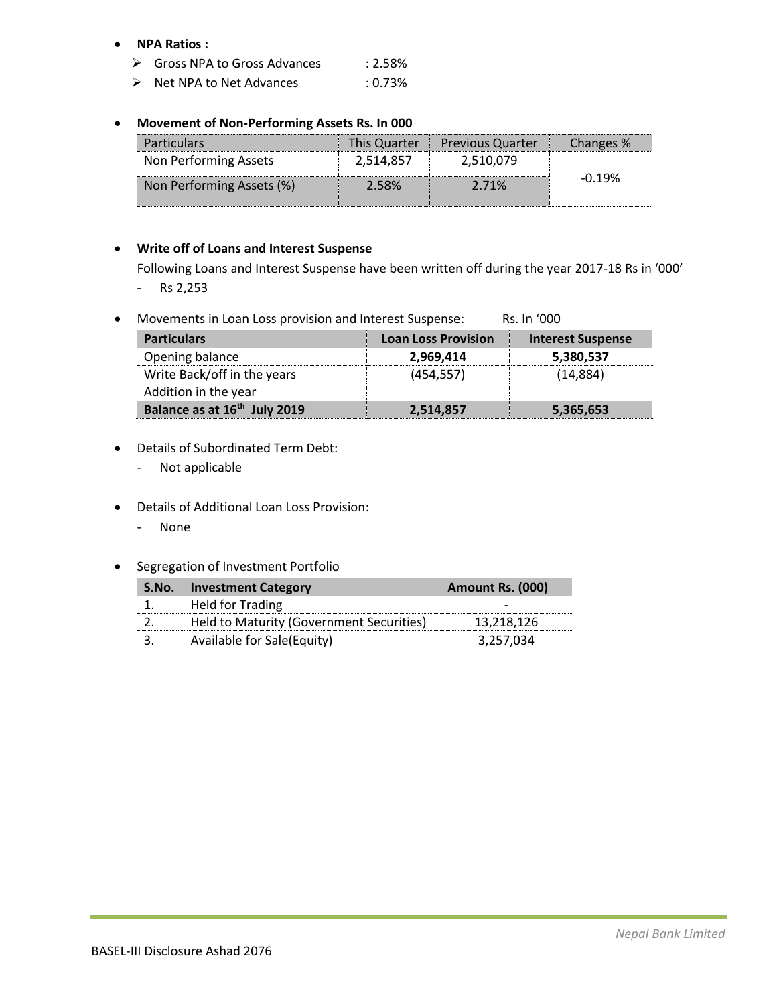### • **NPA Ratios :**

- ➢ Gross NPA to Gross Advances : 2.58%
- ➢ Net NPA to Net Advances : 0.73%

## • **Movement of Non-Performing Assets Rs. In 000**

| <b>Particulars</b>        |           | This Quarter   Previous Quarter | Changes % |
|---------------------------|-----------|---------------------------------|-----------|
| Non Performing Assets     | 2,514,857 | 2,510,079                       |           |
| Non Performing Assets (%) | 2.58%     | 2.71%                           | -0.19%    |

## • **Write off of Loans and Interest Suspense**

Following Loans and Interest Suspense have been written off during the year 2017-18 Rs in '000' - Rs 2,253

• Movements in Loan Loss provision and Interest Suspense: Rs. In '000

| <b>Particulars</b>                       | <b>Loan Loss Provision</b> | <b>Interest Suspense</b> |
|------------------------------------------|----------------------------|--------------------------|
| Opening balance                          | 2,969,414                  | 5,380,537                |
| Write Back/off in the years              | 454.557                    | 14.884                   |
| Addition in the year                     |                            |                          |
| Balance as at 16 <sup>th</sup> July 2019 | 2,514,857                  | 5,365,653                |

- Details of Subordinated Term Debt:
	- Not applicable
- Details of Additional Loan Loss Provision:
	- None
- Segregation of Investment Portfolio

| <b>S.No.</b> Investment Category         | Amount Rs. (000) |
|------------------------------------------|------------------|
| <b>Held for Trading</b>                  |                  |
| Held to Maturity (Government Securities) | 13.218.126       |
| Available for Sale(Equity)               | 3.257.034        |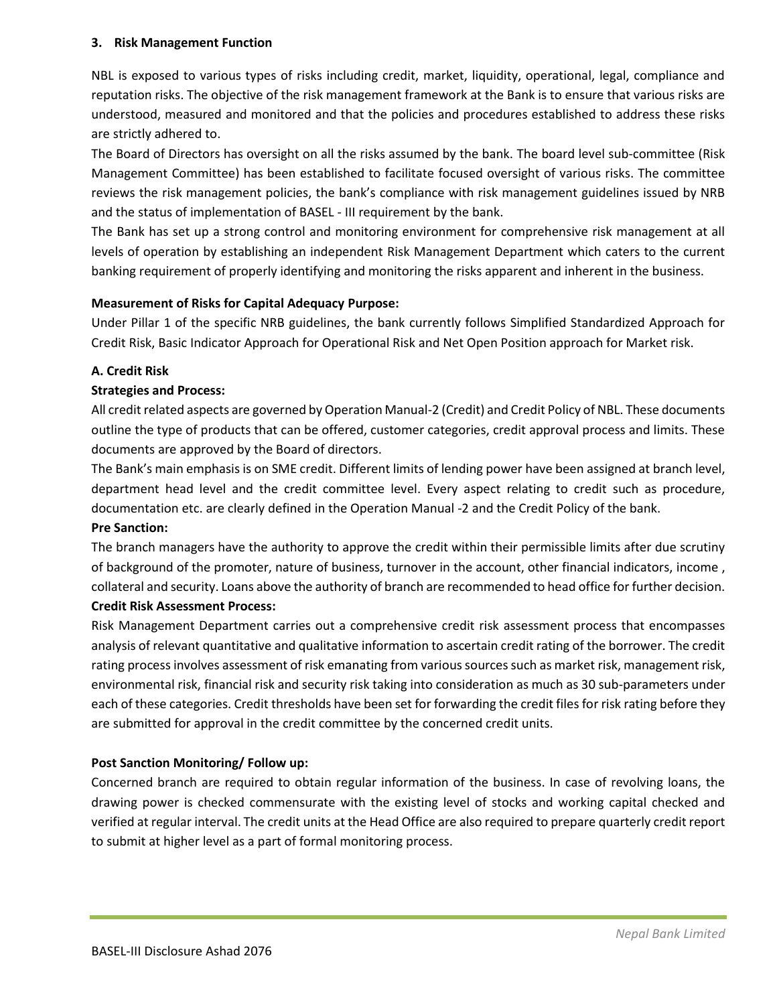## **3. Risk Management Function**

NBL is exposed to various types of risks including credit, market, liquidity, operational, legal, compliance and reputation risks. The objective of the risk management framework at the Bank is to ensure that various risks are understood, measured and monitored and that the policies and procedures established to address these risks are strictly adhered to.

The Board of Directors has oversight on all the risks assumed by the bank. The board level sub-committee (Risk Management Committee) has been established to facilitate focused oversight of various risks. The committee reviews the risk management policies, the bank's compliance with risk management guidelines issued by NRB and the status of implementation of BASEL - III requirement by the bank.

The Bank has set up a strong control and monitoring environment for comprehensive risk management at all levels of operation by establishing an independent Risk Management Department which caters to the current banking requirement of properly identifying and monitoring the risks apparent and inherent in the business.

### **Measurement of Risks for Capital Adequacy Purpose:**

Under Pillar 1 of the specific NRB guidelines, the bank currently follows Simplified Standardized Approach for Credit Risk, Basic Indicator Approach for Operational Risk and Net Open Position approach for Market risk.

### **A. Credit Risk**

### **Strategies and Process:**

All credit related aspects are governed by Operation Manual-2 (Credit) and Credit Policy of NBL. These documents outline the type of products that can be offered, customer categories, credit approval process and limits. These documents are approved by the Board of directors.

The Bank's main emphasis is on SME credit. Different limits of lending power have been assigned at branch level, department head level and the credit committee level. Every aspect relating to credit such as procedure, documentation etc. are clearly defined in the Operation Manual -2 and the Credit Policy of the bank. **Pre Sanction:** 

The branch managers have the authority to approve the credit within their permissible limits after due scrutiny of background of the promoter, nature of business, turnover in the account, other financial indicators, income , collateral and security. Loans above the authority of branch are recommended to head office for further decision.

### **Credit Risk Assessment Process:**

Risk Management Department carries out a comprehensive credit risk assessment process that encompasses analysis of relevant quantitative and qualitative information to ascertain credit rating of the borrower. The credit rating process involves assessment of risk emanating from various sources such as market risk, management risk, environmental risk, financial risk and security risk taking into consideration as much as 30 sub-parameters under each of these categories. Credit thresholds have been set for forwarding the credit files for risk rating before they are submitted for approval in the credit committee by the concerned credit units.

## **Post Sanction Monitoring/ Follow up:**

Concerned branch are required to obtain regular information of the business. In case of revolving loans, the drawing power is checked commensurate with the existing level of stocks and working capital checked and verified at regular interval. The credit units at the Head Office are also required to prepare quarterly credit report to submit at higher level as a part of formal monitoring process.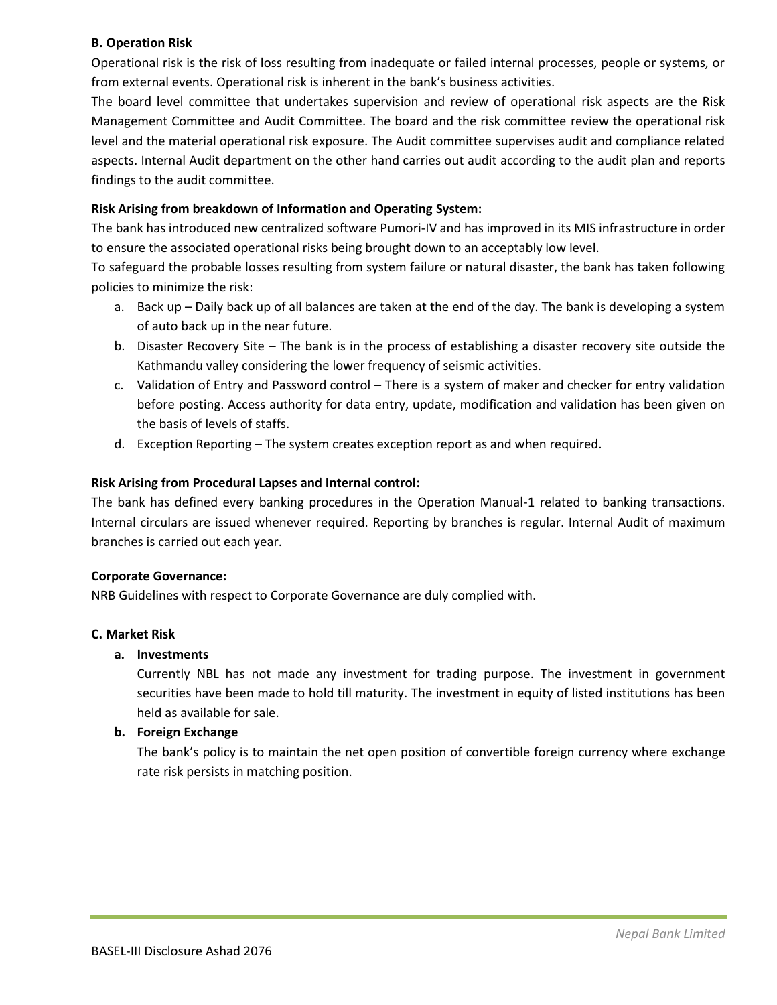## **B. Operation Risk**

Operational risk is the risk of loss resulting from inadequate or failed internal processes, people or systems, or from external events. Operational risk is inherent in the bank's business activities.

The board level committee that undertakes supervision and review of operational risk aspects are the Risk Management Committee and Audit Committee. The board and the risk committee review the operational risk level and the material operational risk exposure. The Audit committee supervises audit and compliance related aspects. Internal Audit department on the other hand carries out audit according to the audit plan and reports findings to the audit committee.

## **Risk Arising from breakdown of Information and Operating System:**

The bank has introduced new centralized software Pumori-IV and has improved in its MIS infrastructure in order to ensure the associated operational risks being brought down to an acceptably low level.

To safeguard the probable losses resulting from system failure or natural disaster, the bank has taken following policies to minimize the risk:

- a. Back up Daily back up of all balances are taken at the end of the day. The bank is developing a system of auto back up in the near future.
- b. Disaster Recovery Site The bank is in the process of establishing a disaster recovery site outside the Kathmandu valley considering the lower frequency of seismic activities.
- c. Validation of Entry and Password control There is a system of maker and checker for entry validation before posting. Access authority for data entry, update, modification and validation has been given on the basis of levels of staffs.
- d. Exception Reporting The system creates exception report as and when required.

## **Risk Arising from Procedural Lapses and Internal control:**

The bank has defined every banking procedures in the Operation Manual-1 related to banking transactions. Internal circulars are issued whenever required. Reporting by branches is regular. Internal Audit of maximum branches is carried out each year.

#### **Corporate Governance:**

NRB Guidelines with respect to Corporate Governance are duly complied with.

#### **C. Market Risk**

## **a. Investments**

Currently NBL has not made any investment for trading purpose. The investment in government securities have been made to hold till maturity. The investment in equity of listed institutions has been held as available for sale.

## **b. Foreign Exchange**

The bank's policy is to maintain the net open position of convertible foreign currency where exchange rate risk persists in matching position.